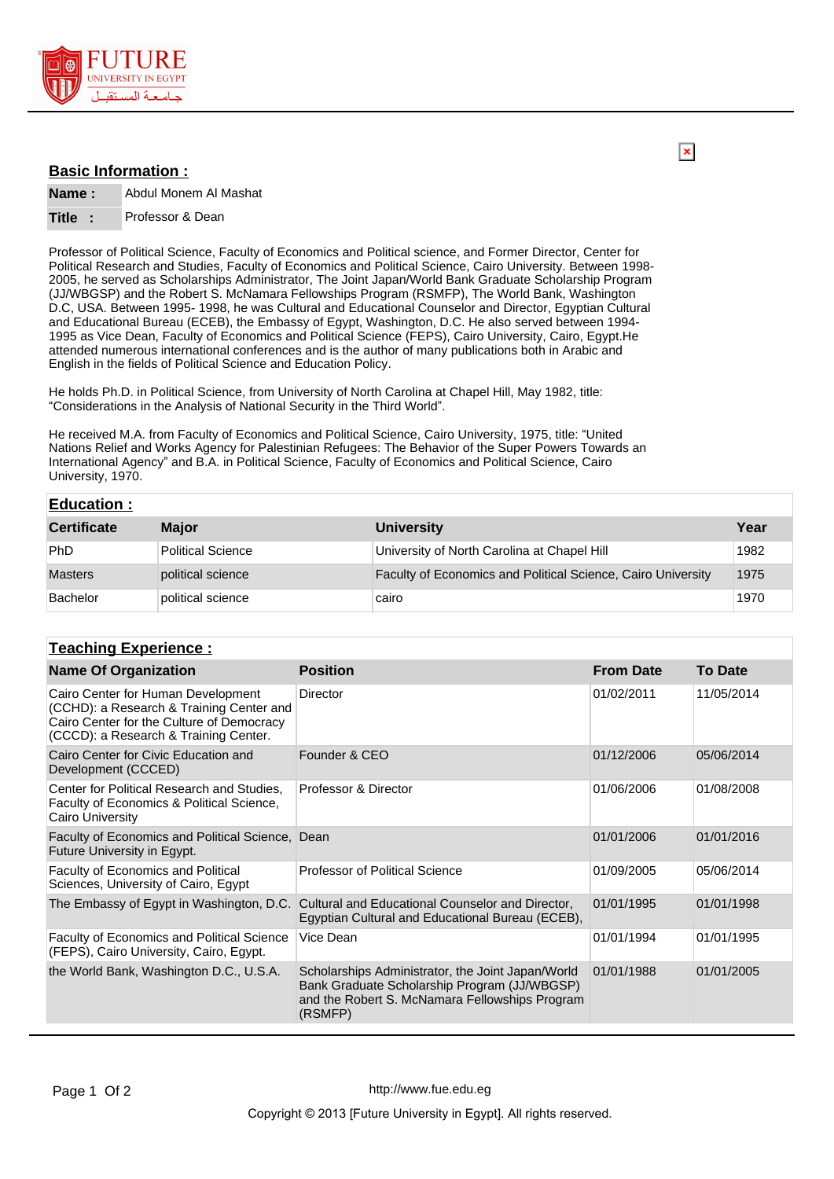

## **Basic Information :**

**Name :** Abdul Monem Al Mashat

## **Title :** Professor & Dean

Professor of Political Science, Faculty of Economics and Political science, and Former Director, Center for Political Research and Studies, Faculty of Economics and Political Science, Cairo University. Between 1998- 2005, he served as Scholarships Administrator, The Joint Japan/World Bank Graduate Scholarship Program (JJ/WBGSP) and the Robert S. McNamara Fellowships Program (RSMFP), The World Bank, Washington D.C, USA. Between 1995- 1998, he was Cultural and Educational Counselor and Director, Egyptian Cultural and Educational Bureau (ECEB), the Embassy of Egypt, Washington, D.C. He also served between 1994- 1995 as Vice Dean, Faculty of Economics and Political Science (FEPS), Cairo University, Cairo, Egypt.He attended numerous international conferences and is the author of many publications both in Arabic and English in the fields of Political Science and Education Policy.

He holds Ph.D. in Political Science, from University of North Carolina at Chapel Hill, May 1982, title: "Considerations in the Analysis of National Security in the Third World".

He received M.A. from Faculty of Economics and Political Science, Cairo University, 1975, title: "United Nations Relief and Works Agency for Palestinian Refugees: The Behavior of the Super Powers Towards an International Agency" and B.A. in Political Science, Faculty of Economics and Political Science, Cairo University, 1970.

| <b>Education:</b>  |                   |                                                              |      |
|--------------------|-------------------|--------------------------------------------------------------|------|
| <b>Certificate</b> | <b>Major</b>      | <b>University</b>                                            | Year |
| PhD                | Political Science | University of North Carolina at Chapel Hill                  | 1982 |
| <b>Masters</b>     | political science | Faculty of Economics and Political Science, Cairo University | 1975 |
| Bachelor           | political science | cairo                                                        | 1970 |

## **Teaching Experience :**

| <b>Name Of Organization</b>                                                                                                                                          | <b>Position</b>                                                                                                                                                | <b>From Date</b> | <b>To Date</b> |
|----------------------------------------------------------------------------------------------------------------------------------------------------------------------|----------------------------------------------------------------------------------------------------------------------------------------------------------------|------------------|----------------|
| Cairo Center for Human Development<br>(CCHD): a Research & Training Center and<br>Cairo Center for the Culture of Democracy<br>(CCCD): a Research & Training Center. | Director                                                                                                                                                       | 01/02/2011       | 11/05/2014     |
| Cairo Center for Civic Education and<br>Development (CCCED)                                                                                                          | Founder & CEO                                                                                                                                                  | 01/12/2006       | 05/06/2014     |
| Center for Political Research and Studies.<br>Faculty of Economics & Political Science,<br>Cairo University                                                          | Professor & Director                                                                                                                                           | 01/06/2006       | 01/08/2008     |
| Faculty of Economics and Political Science, Dean<br>Future University in Egypt.                                                                                      |                                                                                                                                                                | 01/01/2006       | 01/01/2016     |
| Faculty of Economics and Political<br>Sciences, University of Cairo, Egypt                                                                                           | Professor of Political Science                                                                                                                                 | 01/09/2005       | 05/06/2014     |
| The Embassy of Egypt in Washington, D.C.                                                                                                                             | Cultural and Educational Counselor and Director,<br>Egyptian Cultural and Educational Bureau (ECEB),                                                           | 01/01/1995       | 01/01/1998     |
| <b>Faculty of Economics and Political Science</b><br>(FEPS), Cairo University, Cairo, Egypt.                                                                         | Vice Dean                                                                                                                                                      | 01/01/1994       | 01/01/1995     |
| the World Bank, Washington D.C., U.S.A.                                                                                                                              | Scholarships Administrator, the Joint Japan/World<br>Bank Graduate Scholarship Program (JJ/WBGSP)<br>and the Robert S. McNamara Fellowships Program<br>(RSMFP) | 01/01/1988       | 01/01/2005     |